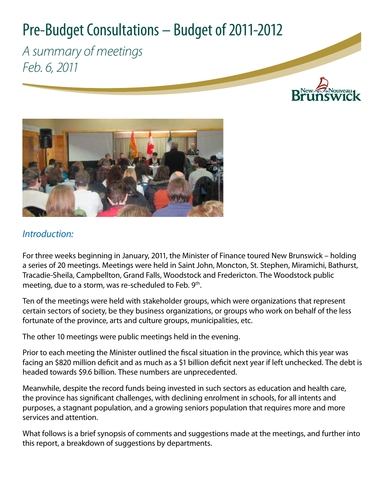# Pre-Budget Consultations – Budget of 2011-2012

*A summary of meetings Feb. 6, 2011*





# *Introduction:*

For three weeks beginning in January, 2011, the Minister of Finance toured New Brunswick – holding a series of 20 meetings. Meetings were held in Saint John, Moncton, St. Stephen, Miramichi, Bathurst, Tracadie-Sheila, Campbellton, Grand Falls, Woodstock and Fredericton. The Woodstock public meeting, due to a storm, was re-scheduled to Feb. 9<sup>th</sup>.

Ten of the meetings were held with stakeholder groups, which were organizations that represent certain sectors of society, be they business organizations, or groups who work on behalf of the less fortunate of the province, arts and culture groups, municipalities, etc.

The other 10 meetings were public meetings held in the evening.

Prior to each meeting the Minister outlined the fiscal situation in the province, which this year was facing an \$820 million deficit and as much as a \$1 billion deficit next year if left unchecked. The debt is headed towards \$9.6 billion. These numbers are unprecedented.

Meanwhile, despite the record funds being invested in such sectors as education and health care, the province has significant challenges, with declining enrolment in schools, for all intents and purposes, a stagnant population, and a growing seniors population that requires more and more services and attention.

What follows is a brief synopsis of comments and suggestions made at the meetings, and further into this report, a breakdown of suggestions by departments.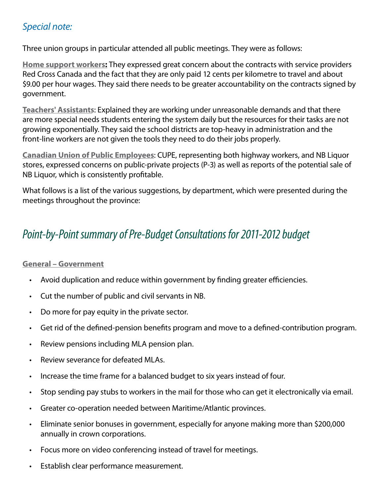# *Special note:*

Three union groups in particular attended all public meetings. They were as follows:

**Home support workers:** They expressed great concern about the contracts with service providers Red Cross Canada and the fact that they are only paid 12 cents per kilometre to travel and about \$9.00 per hour wages. They said there needs to be greater accountability on the contracts signed by government.

**Teachers' Assistants**: Explained they are working under unreasonable demands and that there are more special needs students entering the system daily but the resources for their tasks are not growing exponentially. They said the school districts are top-heavy in administration and the front-line workers are not given the tools they need to do their jobs properly.

**Canadian Union of Public Employees**: CUPE, representing both highway workers, and NB Liquor stores, expressed concerns on public-private projects (P-3) as well as reports of the potential sale of NB Liquor, which is consistently profitable.

What follows is a list of the various suggestions, by department, which were presented during the meetings throughout the province:

# *Point-by-Point summary of Pre-Budget Consultations for 2011-2012 budget*

### **General – Government**

- Avoid duplication and reduce within government by finding greater efficiencies.
- Cut the number of public and civil servants in NB.
- Do more for pay equity in the private sector.
- Get rid of the defined-pension benefits program and move to a defined-contribution program.
- Review pensions including MLA pension plan.
- Review severance for defeated MLAs.
- Increase the time frame for a balanced budget to six years instead of four.
- Stop sending pay stubs to workers in the mail for those who can get it electronically via email.
- Greater co-operation needed between Maritime/Atlantic provinces.
- Eliminate senior bonuses in government, especially for anyone making more than \$200,000 annually in crown corporations.
- Focus more on video conferencing instead of travel for meetings.
- Establish clear performance measurement.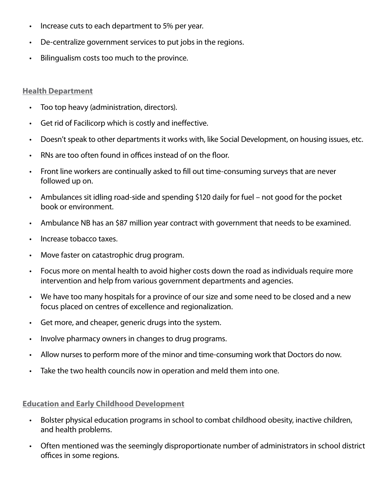- Increase cuts to each department to 5% per year.
- De-centralize government services to put jobs in the regions.
- Bilingualism costs too much to the province.

#### **Health Department**

- Too top heavy (administration, directors).
- Get rid of Facilicorp which is costly and ineffective.
- Doesn't speak to other departments it works with, like Social Development, on housing issues, etc.
- RNs are too often found in offices instead of on the floor.
- Front line workers are continually asked to fill out time-consuming surveys that are never followed up on.
- Ambulances sit idling road-side and spending \$120 daily for fuel not good for the pocket book or environment.
- Ambulance NB has an \$87 million year contract with government that needs to be examined.
- Increase tobacco taxes.
- Move faster on catastrophic drug program.
- Focus more on mental health to avoid higher costs down the road as individuals require more intervention and help from various government departments and agencies.
- We have too many hospitals for a province of our size and some need to be closed and a new focus placed on centres of excellence and regionalization.
- Get more, and cheaper, generic drugs into the system.
- Involve pharmacy owners in changes to drug programs.
- Allow nurses to perform more of the minor and time-consuming work that Doctors do now.
- Take the two health councils now in operation and meld them into one.

**Education and Early Childhood Development**

- Bolster physical education programs in school to combat childhood obesity, inactive children, and health problems.
- Often mentioned was the seemingly disproportionate number of administrators in school district offices in some regions.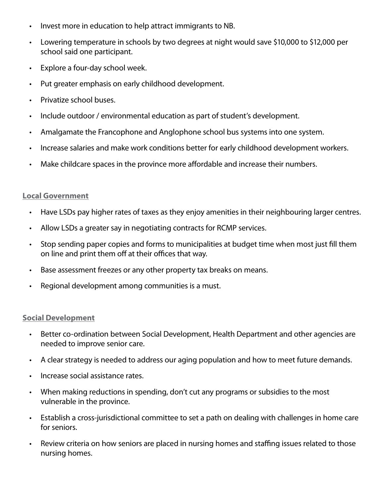- Invest more in education to help attract immigrants to NB.
- Lowering temperature in schools by two degrees at night would save \$10,000 to \$12,000 per school said one participant.
- Explore a four-day school week.
- Put greater emphasis on early childhood development.
- Privatize school buses.
- Include outdoor / environmental education as part of student's development.
- Amalgamate the Francophone and Anglophone school bus systems into one system.
- Increase salaries and make work conditions better for early childhood development workers.
- Make childcare spaces in the province more affordable and increase their numbers.

#### **Local Government**

- Have LSDs pay higher rates of taxes as they enjoy amenities in their neighbouring larger centres.
- Allow LSDs a greater say in negotiating contracts for RCMP services.
- Stop sending paper copies and forms to municipalities at budget time when most just fill them on line and print them off at their offices that way.
- Base assessment freezes or any other property tax breaks on means.
- Regional development among communities is a must.

#### **Social Development**

- Better co-ordination between Social Development, Health Department and other agencies are needed to improve senior care.
- A clear strategy is needed to address our aging population and how to meet future demands.
- Increase social assistance rates.
- When making reductions in spending, don't cut any programs or subsidies to the most vulnerable in the province.
- Establish a cross-jurisdictional committee to set a path on dealing with challenges in home care for seniors.
- Review criteria on how seniors are placed in nursing homes and staffing issues related to those nursing homes.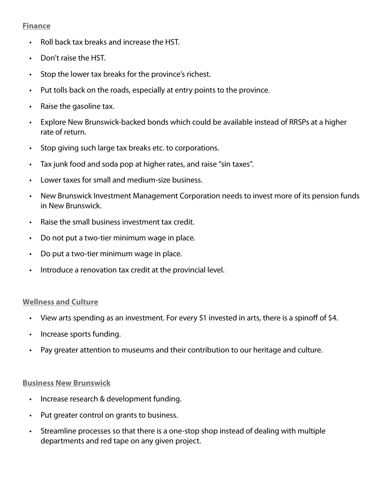#### **Finance**

- Roll back tax breaks and increase the HST.
- Don't raise the HST.
- Stop the lower tax breaks for the province's richest.
- Put tolls back on the roads, especially at entry points to the province.
- Raise the gasoline tax.
- Explore New Brunswick-backed bonds which could be available instead of RRSPs at a higher rate of return.
- Stop giving such large tax breaks etc. to corporations.
- Tax junk food and soda pop at higher rates, and raise "sin taxes".
- Lower taxes for small and medium-size business.
- New Brunswick Investment Management Corporation needs to invest more of its pension funds in New Brunswick.
- Raise the small business investment tax credit.
- Do not put a two-tier minimum wage in place.
- Do put a two-tier minimum wage in place.
- Introduce a renovation tax credit at the provincial level.

#### **Wellness and Culture**

- View arts spending as an investment. For every \$1 invested in arts, there is a spinoff of \$4.
- Increase sports funding.
- Pay greater attention to museums and their contribution to our heritage and culture.

#### **Business New Brunswick**

- Increase research & development funding.
- Put greater control on grants to business.
- Streamline processes so that there is a one-stop shop instead of dealing with multiple departments and red tape on any given project.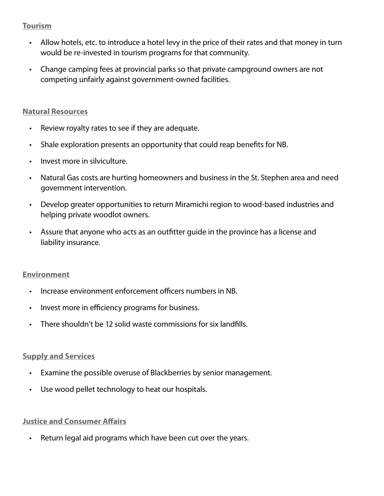#### **Tourism**

- Allow hotels, etc. to introduce a hotel levy in the price of their rates and that money in turn would be re-invested in tourism programs for that community.
- Change camping fees at provincial parks so that private campground owners are not competing unfairly against government-owned facilities.

#### **Natural Resources**

- Review royalty rates to see if they are adequate.
- Shale exploration presents an opportunity that could reap benefits for NB.
- Invest more in silviculture.
- Natural Gas costs are hurting homeowners and business in the St. Stephen area and need government intervention.
- Develop greater opportunities to return Miramichi region to wood-based industries and helping private woodlot owners.
- Assure that anyone who acts as an outfitter guide in the province has a license and liability insurance.

#### **Environment**

- Increase environment enforcement officers numbers in NB.
- Invest more in efficiency programs for business.
- There shouldn't be 12 solid waste commissions for six landfills.

#### **Supply and Services**

- Examine the possible overuse of Blackberries by senior management.
- Use wood pellet technology to heat our hospitals.

## **Justice and Consumer Affairs**

• Return legal aid programs which have been cut over the years.